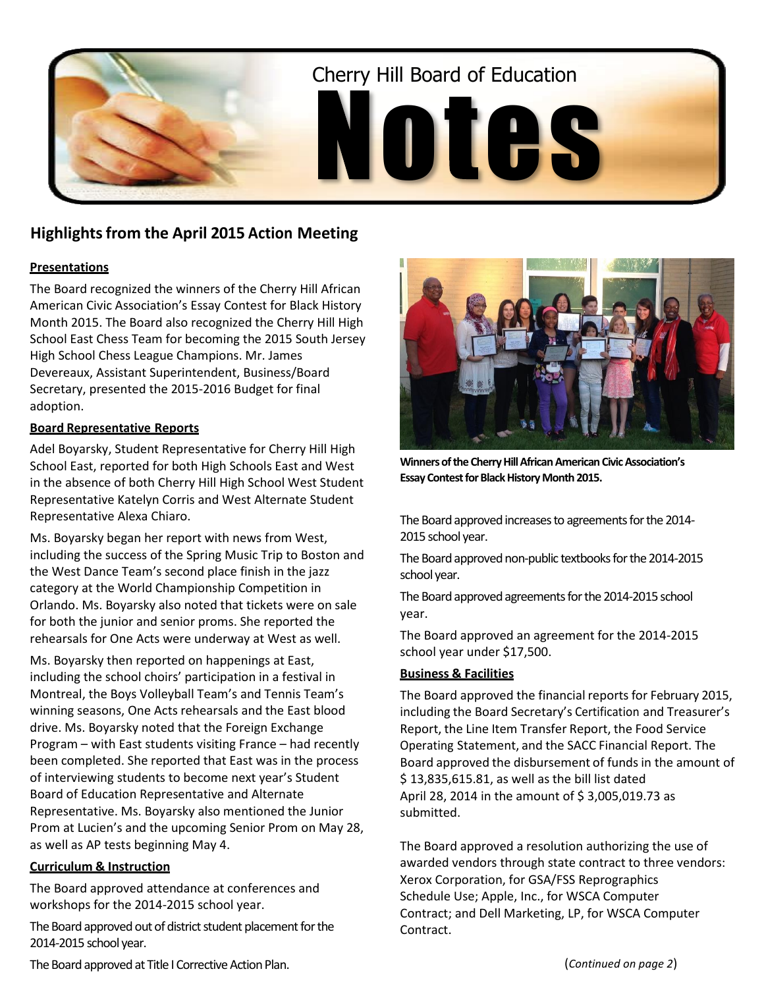

# **Highlightsfrom the April 2015 Action Meeting**

### **Presentations**

The Board recognized the winners of the Cherry Hill African American Civic Association's Essay Contest for Black History Month 2015. The Board also recognized the Cherry Hill High School East Chess Team for becoming the 2015 South Jersey High School Chess League Champions. Mr. James Devereaux, Assistant Superintendent, Business/Board Secretary, presented the 2015-2016 Budget for final adoption.

### **Board Representative Reports**

Adel Boyarsky, Student Representative for Cherry Hill High School East, reported for both High Schools East and West in the absence of both Cherry Hill High School West Student Representative Katelyn Corris and West Alternate Student Representative Alexa Chiaro.

Ms. Boyarsky began her report with news from West, including the success of the Spring Music Trip to Boston and the West Dance Team's second place finish in the jazz category at the World Championship Competition in Orlando. Ms. Boyarsky also noted that tickets were on sale for both the junior and senior proms. She reported the rehearsals for One Acts were underway at West as well.

Ms. Boyarsky then reported on happenings at East, including the school choirs' participation in a festival in Montreal, the Boys Volleyball Team's and Tennis Team's winning seasons, One Acts rehearsals and the East blood drive. Ms. Boyarsky noted that the Foreign Exchange Program – with East students visiting France – had recently been completed. She reported that East was in the process of interviewing students to become next year's Student Board of Education Representative and Alternate Representative. Ms. Boyarsky also mentioned the Junior Prom at Lucien's and the upcoming Senior Prom on May 28, as well as AP tests beginning May 4.

### **Curriculum & Instruction**

The Board approved attendance at conferences and workshops for the 2014-2015 school year.

The Board approved out of district student placement for the 2014-2015 school year.



**Winners of the Cherry Hill African American Civic Association's Essay Contest for Black History Month 2015.**

The Board approved increases to agreements for the 2014- 2015 school year.

The Board approved non-public textbooks for the 2014-2015 school year.

The Board approved agreements for the 2014-2015 school year.

The Board approved an agreement for the 2014-2015 school year under \$17,500.

### **Business & Facilities**

The Board approved the financial reports for February 2015, including the Board Secretary's Certification and Treasurer's Report, the Line Item Transfer Report, the Food Service Operating Statement, and the SACC Financial Report. The Board approved the disbursement of funds in the amount of \$ 13,835,615.81, as well as the bill list dated April 28, 2014 in the amount of \$3,005,019.73 as submitted.

The Board approved a resolution authorizing the use of awarded vendors through state contract to three vendors: Xerox Corporation, for GSA/FSS Reprographics Schedule Use; Apple, Inc., for WSCA Computer Contract; and Dell Marketing, LP, for WSCA Computer Contract.

The Board approved at Title I Corrective Action Plan.